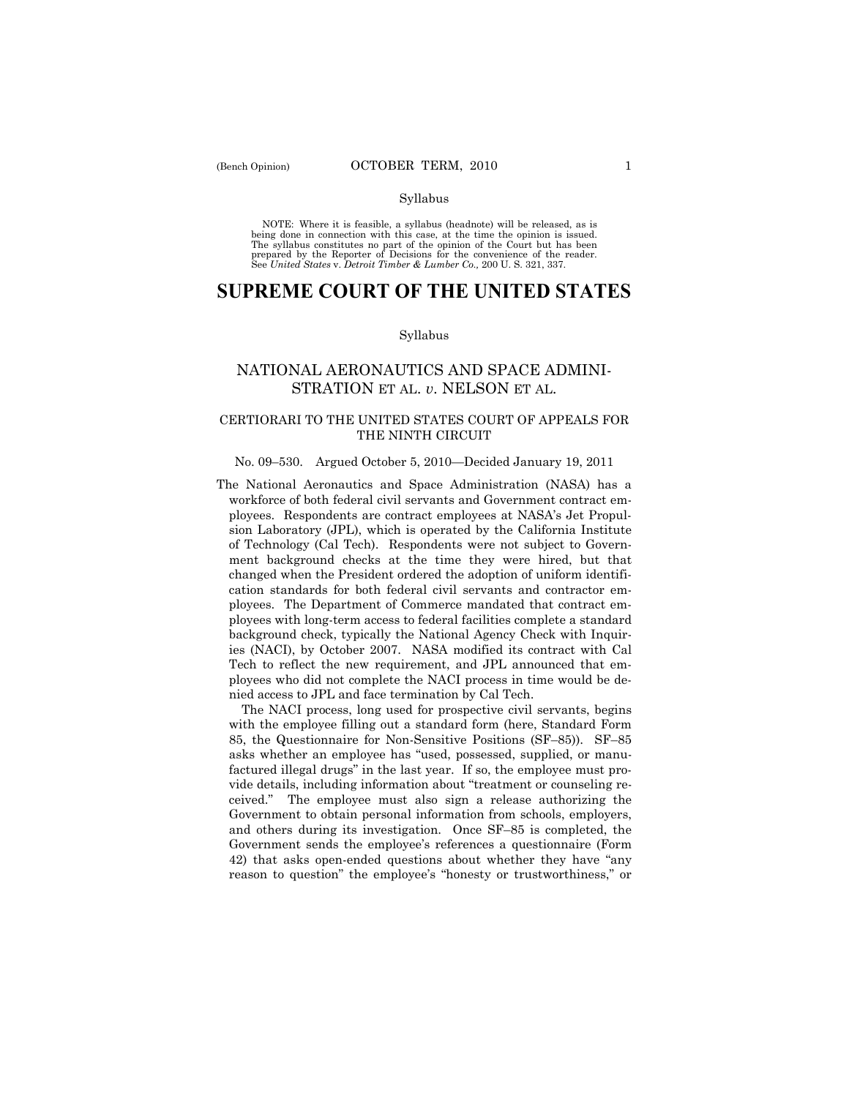NOTE: Where it is feasible, a syllabus (headnote) will be released, as is being done in connection with this case, at the time the opinion is issued. The syllabus constitutes no part of the opinion of the Court but has been<br>prepared by the Reporter of Decisions for the convenience of the reader.<br>See United States v. Detroit Timber & Lumber Co., 200 U. S. 321, 337.

# **SUPREME COURT OF THE UNITED STATES**

### Syllabus

## NATIONAL AERONAUTICS AND SPACE ADMINI-STRATION ET AL. *v*. NELSON ET AL.

### CERTIORARI TO THE UNITED STATES COURT OF APPEALS FOR THE NINTH CIRCUIT

### No. 09–530. Argued October 5, 2010—Decided January 19, 2011

The National Aeronautics and Space Administration (NASA) has a workforce of both federal civil servants and Government contract employees. Respondents are contract employees at NASA's Jet Propulsion Laboratory (JPL), which is operated by the California Institute of Technology (Cal Tech). Respondents were not subject to Government background checks at the time they were hired, but that changed when the President ordered the adoption of uniform identification standards for both federal civil servants and contractor employees. The Department of Commerce mandated that contract employees with long-term access to federal facilities complete a standard background check, typically the National Agency Check with Inquiries (NACI), by October 2007. NASA modified its contract with Cal Tech to reflect the new requirement, and JPL announced that employees who did not complete the NACI process in time would be denied access to JPL and face termination by Cal Tech.

 The NACI process, long used for prospective civil servants, begins with the employee filling out a standard form (here, Standard Form 85, the Questionnaire for Non-Sensitive Positions (SF–85)). SF–85 asks whether an employee has "used, possessed, supplied, or manufactured illegal drugs" in the last year. If so, the employee must provide details, including information about "treatment or counseling received." The employee must also sign a release authorizing the Government to obtain personal information from schools, employers, and others during its investigation. Once SF–85 is completed, the Government sends the employee's references a questionnaire (Form 42) that asks open-ended questions about whether they have "any reason to question" the employee's "honesty or trustworthiness," or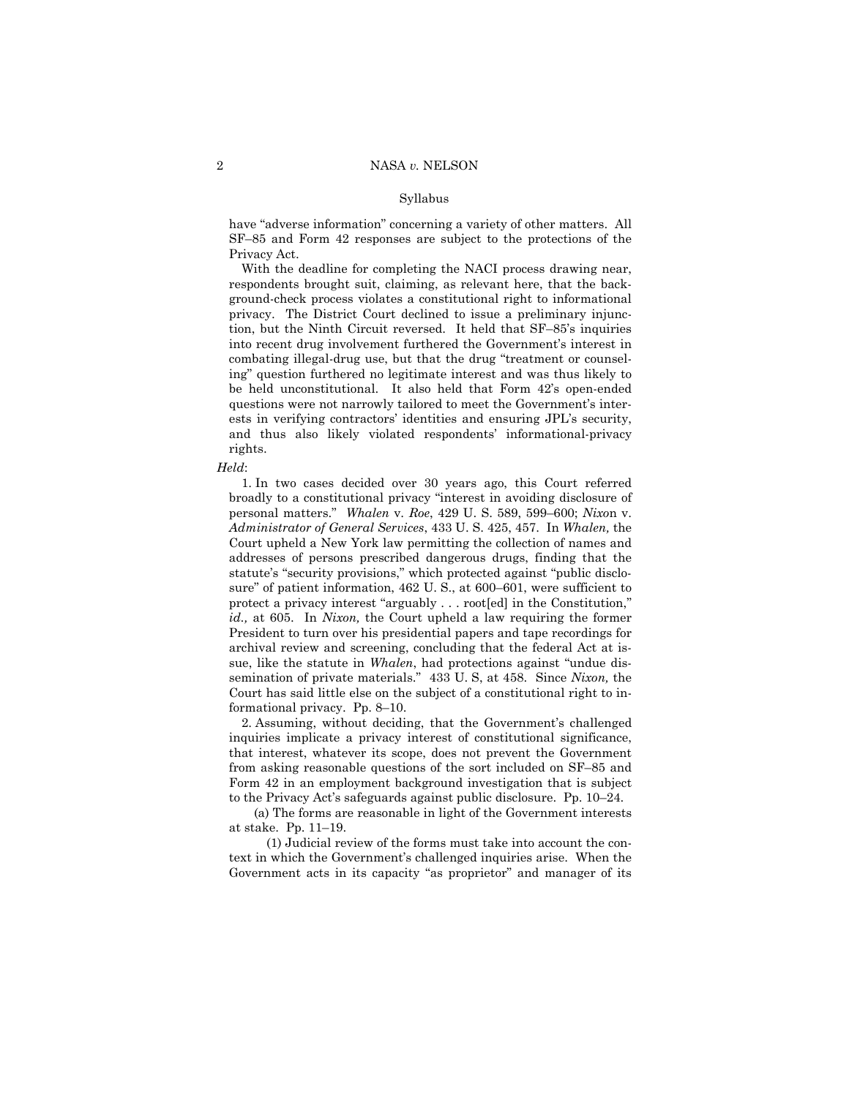have "adverse information" concerning a variety of other matters. All SF–85 and Form 42 responses are subject to the protections of the Privacy Act.

 With the deadline for completing the NACI process drawing near, respondents brought suit, claiming, as relevant here, that the background-check process violates a constitutional right to informational privacy. The District Court declined to issue a preliminary injunction, but the Ninth Circuit reversed. It held that SF–85's inquiries into recent drug involvement furthered the Government's interest in combating illegal-drug use, but that the drug "treatment or counseling" question furthered no legitimate interest and was thus likely to be held unconstitutional. It also held that Form 42's open-ended questions were not narrowly tailored to meet the Government's interests in verifying contractors' identities and ensuring JPL's security, and thus also likely violated respondents' informational-privacy rights.

#### *Held*:

 1. In two cases decided over 30 years ago, this Court referred broadly to a constitutional privacy "interest in avoiding disclosure of personal matters." *Whalen* v. *Roe*, 429 U. S. 589, 599–600; *Nixo*n v. *Administrator of General Services*, 433 U. S. 425, 457. In *Whalen,* the Court upheld a New York law permitting the collection of names and addresses of persons prescribed dangerous drugs, finding that the statute's "security provisions," which protected against "public disclosure" of patient information, 462 U. S., at 600–601, were sufficient to protect a privacy interest "arguably . . . root[ed] in the Constitution," *id.,* at 605. In *Nixon,* the Court upheld a law requiring the former President to turn over his presidential papers and tape recordings for archival review and screening, concluding that the federal Act at issue, like the statute in *Whalen*, had protections against "undue dissemination of private materials." 433 U. S, at 458. Since *Nixon,* the Court has said little else on the subject of a constitutional right to informational privacy. Pp. 8–10.

 2. Assuming, without deciding, that the Government's challenged inquiries implicate a privacy interest of constitutional significance, that interest, whatever its scope, does not prevent the Government from asking reasonable questions of the sort included on SF–85 and Form 42 in an employment background investigation that is subject to the Privacy Act's safeguards against public disclosure. Pp. 10–24.

 (a) The forms are reasonable in light of the Government interests at stake. Pp. 11–19.

 (1) Judicial review of the forms must take into account the context in which the Government's challenged inquiries arise. When the Government acts in its capacity "as proprietor" and manager of its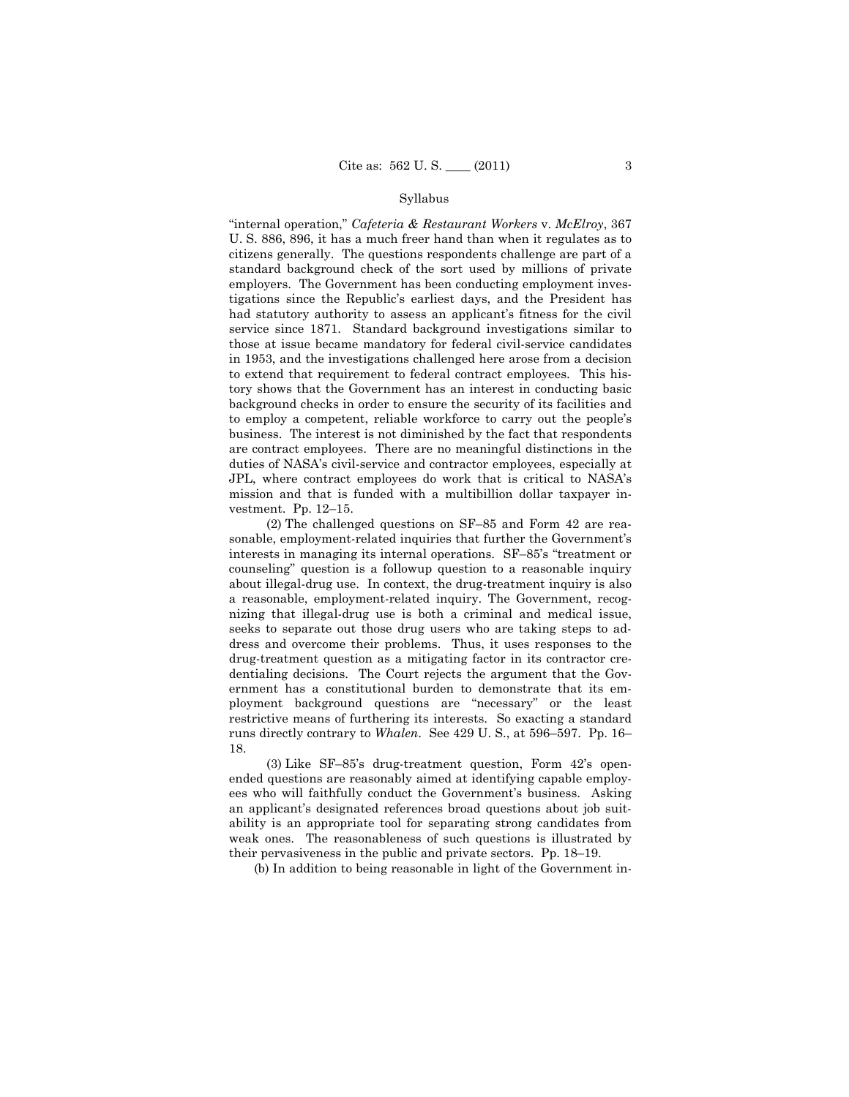"internal operation," *Cafeteria & Restaurant Workers* v. *McElroy*, 367 U. S. 886, 896, it has a much freer hand than when it regulates as to citizens generally. The questions respondents challenge are part of a standard background check of the sort used by millions of private employers. The Government has been conducting employment investigations since the Republic's earliest days, and the President has had statutory authority to assess an applicant's fitness for the civil service since 1871. Standard background investigations similar to those at issue became mandatory for federal civil-service candidates in 1953, and the investigations challenged here arose from a decision to extend that requirement to federal contract employees. This history shows that the Government has an interest in conducting basic background checks in order to ensure the security of its facilities and to employ a competent, reliable workforce to carry out the people's business. The interest is not diminished by the fact that respondents are contract employees. There are no meaningful distinctions in the duties of NASA's civil-service and contractor employees, especially at JPL, where contract employees do work that is critical to NASA's mission and that is funded with a multibillion dollar taxpayer investment. Pp. 12–15.

 (2) The challenged questions on SF–85 and Form 42 are reasonable, employment-related inquiries that further the Government's interests in managing its internal operations. SF–85's "treatment or counseling" question is a followup question to a reasonable inquiry about illegal-drug use. In context, the drug-treatment inquiry is also a reasonable, employment-related inquiry. The Government, recognizing that illegal-drug use is both a criminal and medical issue, seeks to separate out those drug users who are taking steps to address and overcome their problems. Thus, it uses responses to the drug-treatment question as a mitigating factor in its contractor credentialing decisions. The Court rejects the argument that the Government has a constitutional burden to demonstrate that its employment background questions are "necessary" or the least restrictive means of furthering its interests. So exacting a standard runs directly contrary to *Whalen*. See 429 U. S., at 596–597. Pp. 16– 18.

 (3) Like SF–85's drug-treatment question, Form 42's openended questions are reasonably aimed at identifying capable employees who will faithfully conduct the Government's business. Asking an applicant's designated references broad questions about job suitability is an appropriate tool for separating strong candidates from weak ones. The reasonableness of such questions is illustrated by their pervasiveness in the public and private sectors. Pp. 18–19.

(b) In addition to being reasonable in light of the Government in-